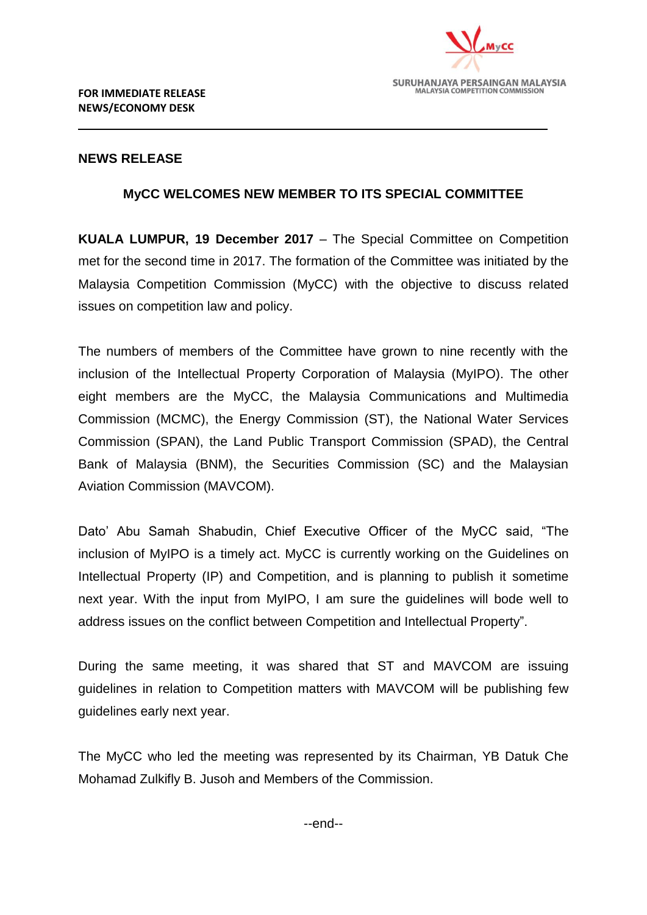

## **NEWS RELEASE**

## **MyCC WELCOMES NEW MEMBER TO ITS SPECIAL COMMITTEE**

**KUALA LUMPUR, 19 December 2017** – The Special Committee on Competition met for the second time in 2017. The formation of the Committee was initiated by the Malaysia Competition Commission (MyCC) with the objective to discuss related issues on competition law and policy.

The numbers of members of the Committee have grown to nine recently with the inclusion of the Intellectual Property Corporation of Malaysia (MyIPO). The other eight members are the MyCC, the Malaysia Communications and Multimedia Commission (MCMC), the Energy Commission (ST), the National Water Services Commission (SPAN), the Land Public Transport Commission (SPAD), the Central Bank of Malaysia (BNM), the Securities Commission (SC) and the Malaysian Aviation Commission (MAVCOM).

Dato' Abu Samah Shabudin, Chief Executive Officer of the MyCC said, "The inclusion of MyIPO is a timely act. MyCC is currently working on the Guidelines on Intellectual Property (IP) and Competition, and is planning to publish it sometime next year. With the input from MyIPO, I am sure the guidelines will bode well to address issues on the conflict between Competition and Intellectual Property".

During the same meeting, it was shared that ST and MAVCOM are issuing guidelines in relation to Competition matters with MAVCOM will be publishing few guidelines early next year.

The MyCC who led the meeting was represented by its Chairman, YB Datuk Che Mohamad Zulkifly B. Jusoh and Members of the Commission.

--end--